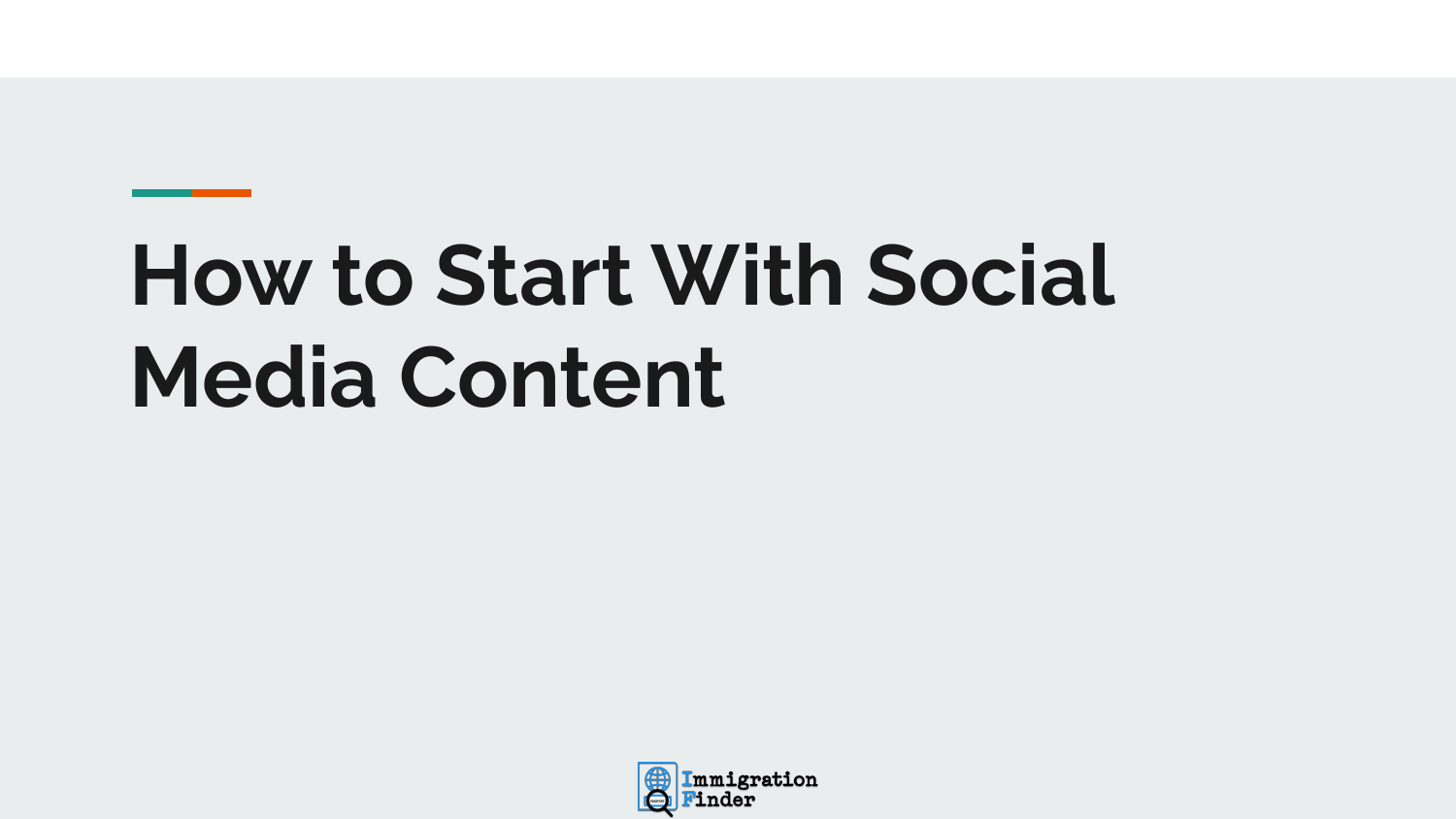# **How to Start With Social Media Content**

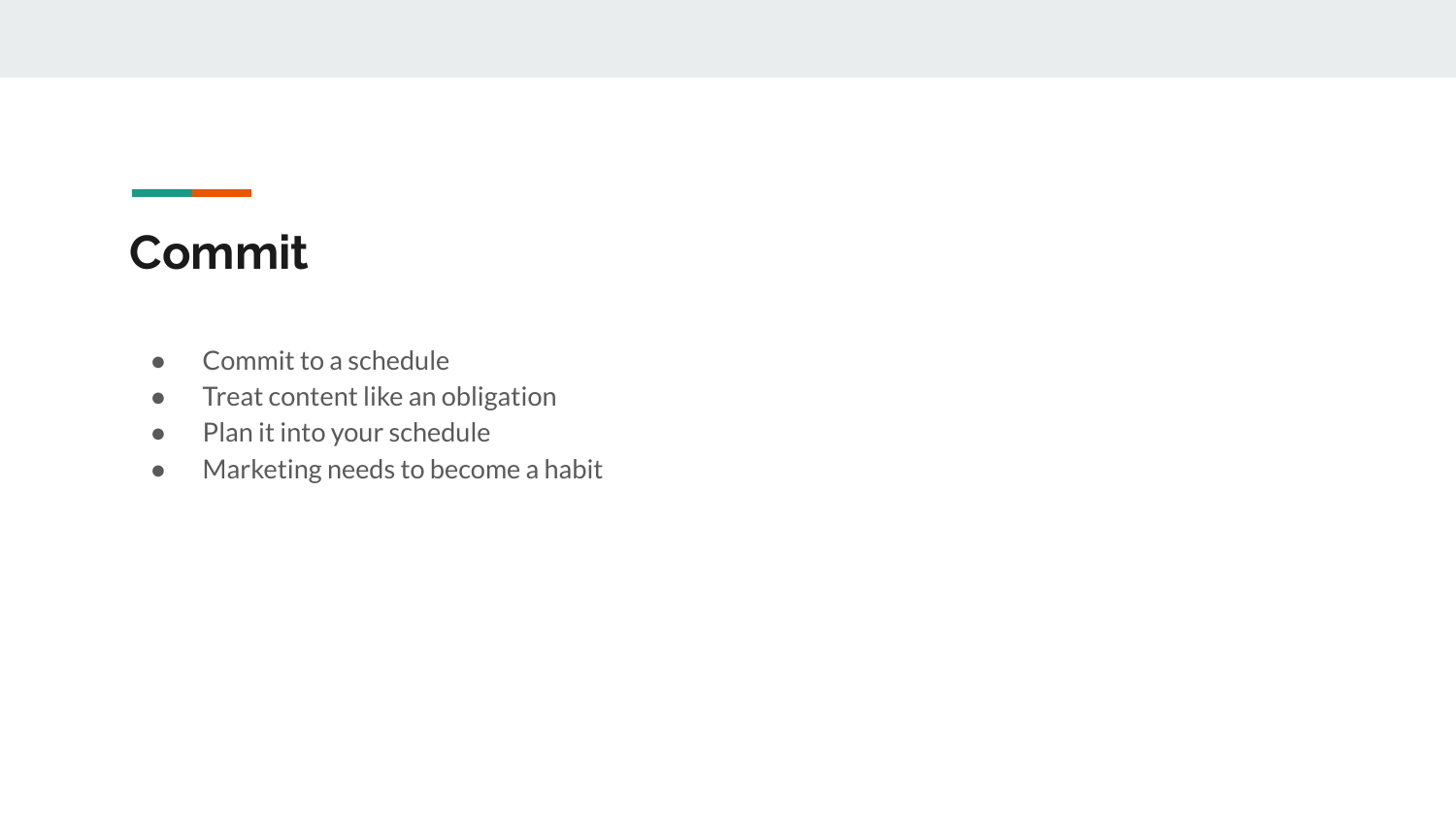## **Commit**

- Commit to a schedule
- Treat content like an obligation
- Plan it into your schedule
- Marketing needs to become a habit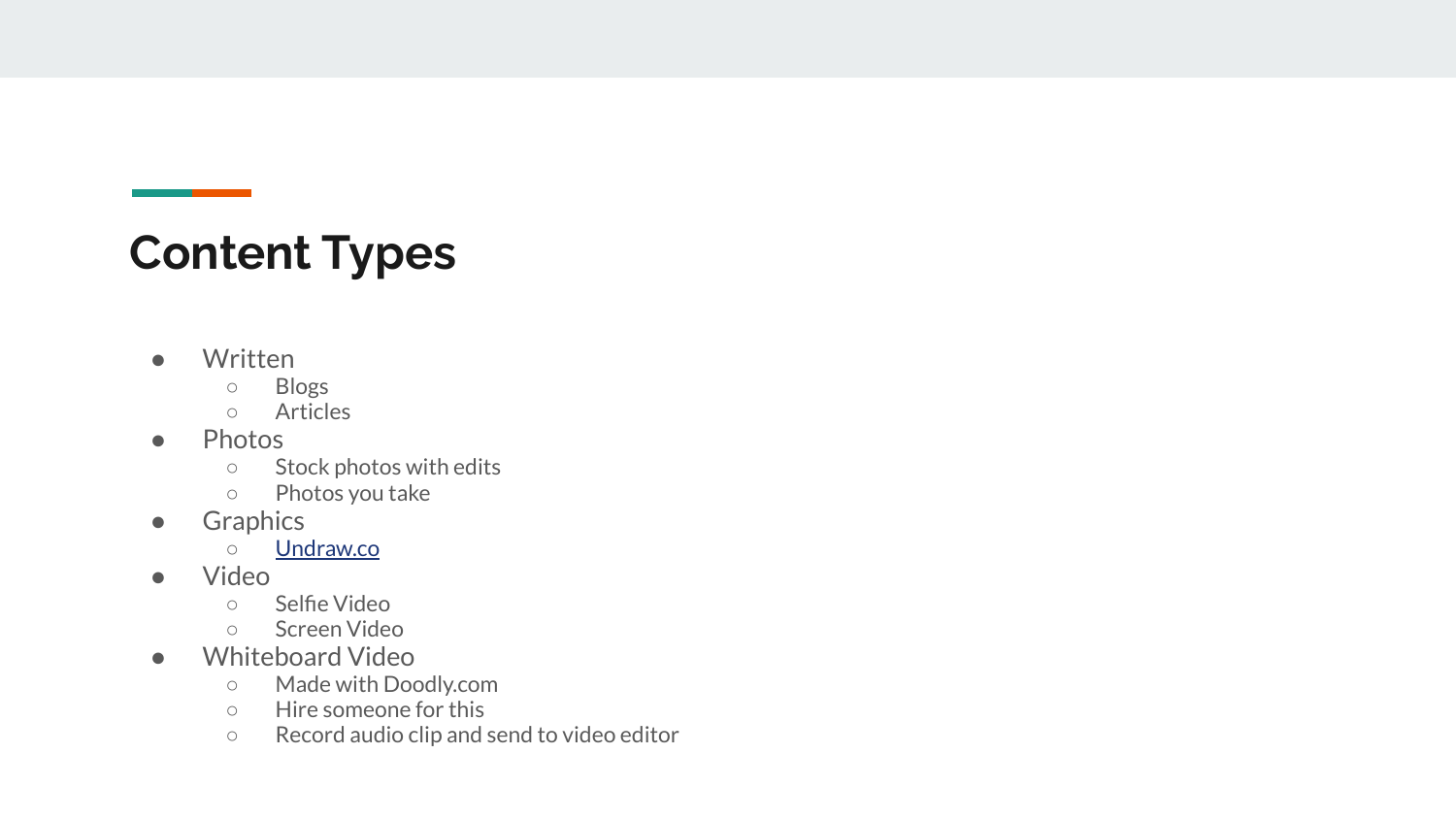### **Content Types**

● Written

**Contract Contract** 

- Blogs
- Articles
- Photos
	- Stock photos with edits
	- Photos you take
- Graphics
	- [Undraw.co](https://undraw.co/)
- Video
	- Selfie Video
	- Screen Video
- Whiteboard Video
	- Made with Doodly.com
	- Hire someone for this
	- Record audio clip and send to video editor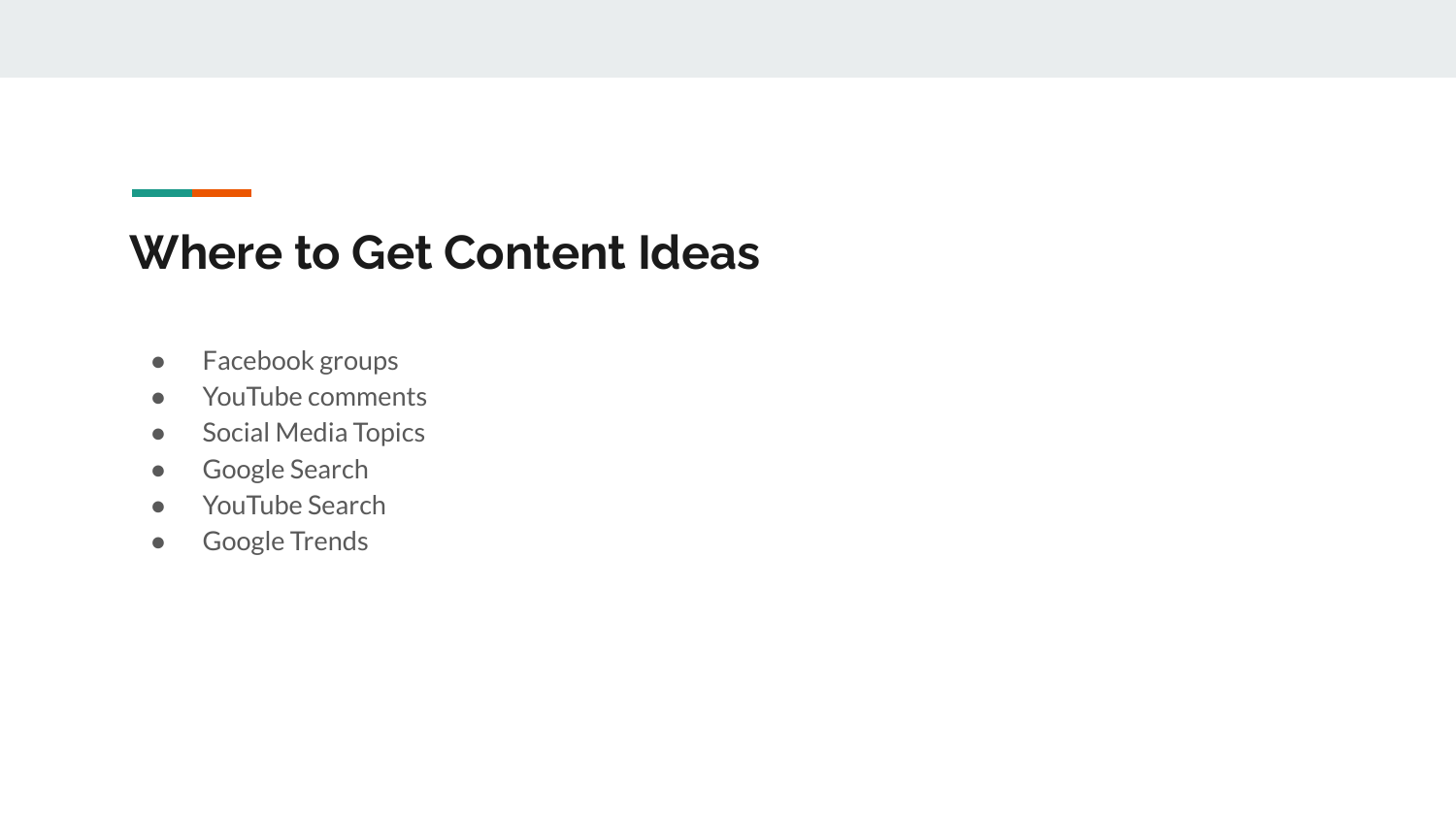#### **Where to Get Content Ideas**

- Facebook groups
- YouTube comments
- Social Media Topics
- Google Search
- YouTube Search
- Google Trends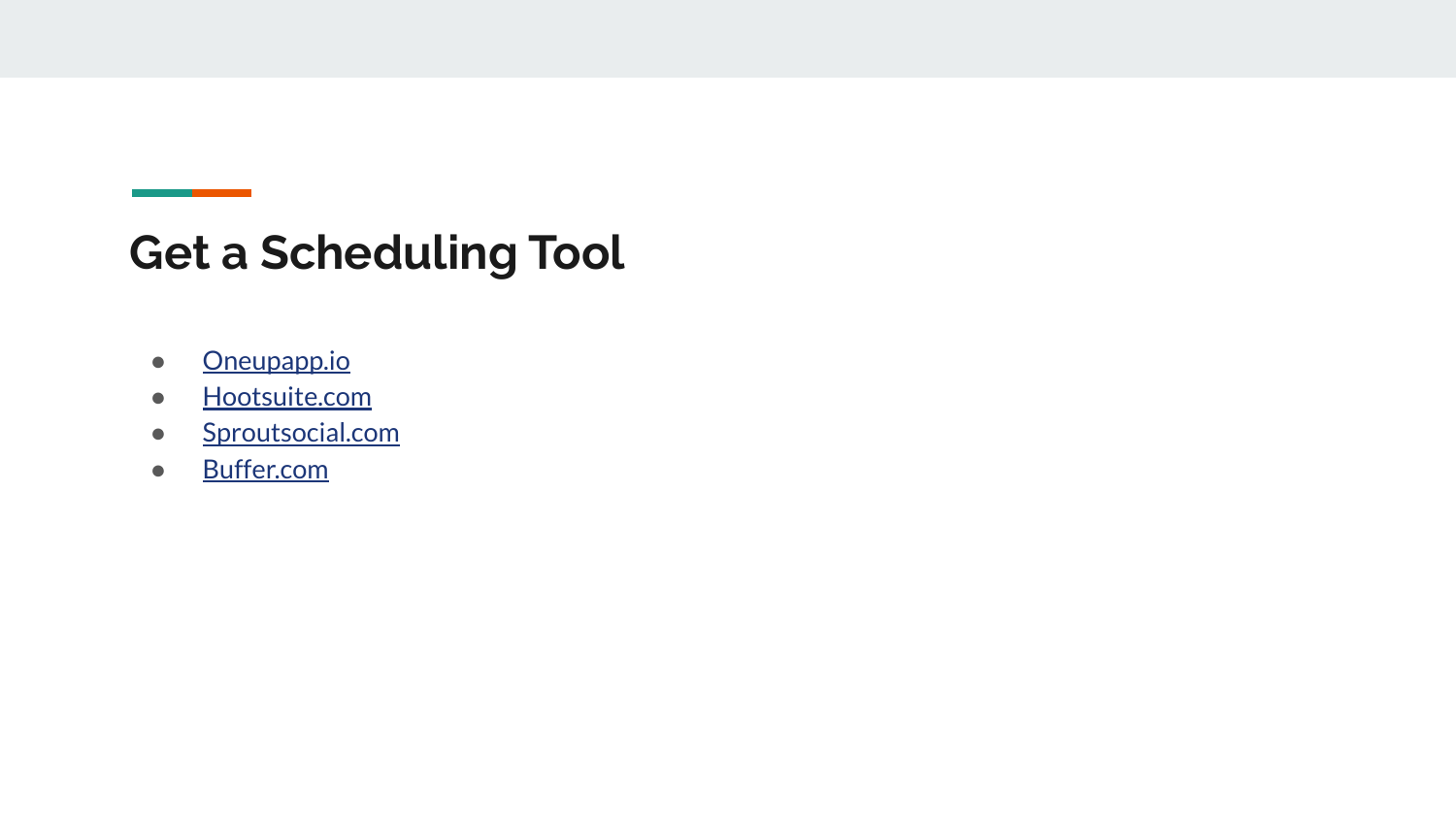#### **Get a Scheduling Tool**

- [Oneupapp.io](https://www.oneupapp.io/)
- [Hootsuite.com](https://www.hootsuite.com/)
- [Sproutsocial.com](https://sproutsocial.com/)
- [Buffer.com](https://buffer.com/)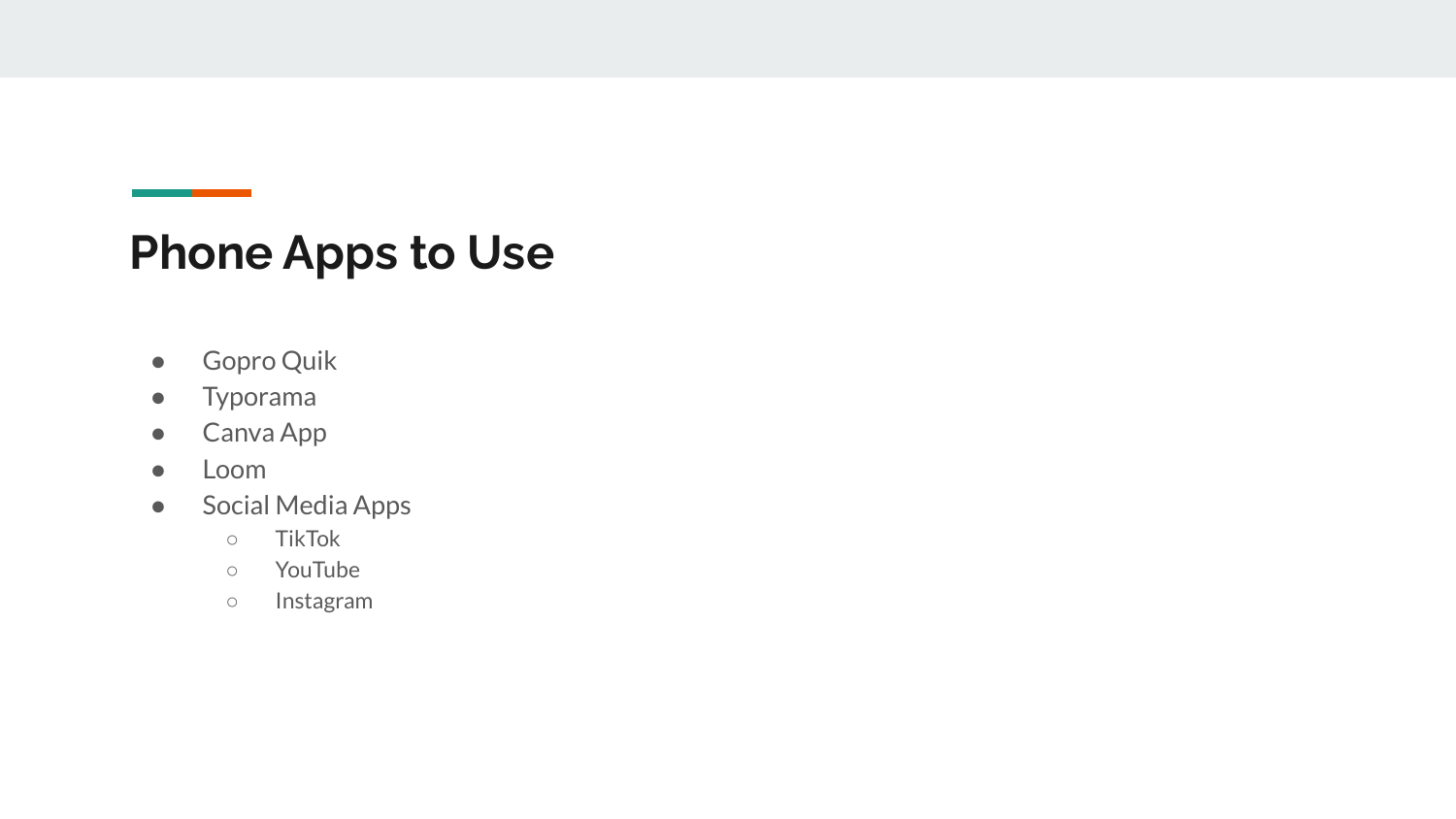#### **Phone Apps to Use**

- Gopro Quik
- Typorama
- Canva App
- Loom
- Social Media Apps
	- TikTok
	- YouTube
	- Instagram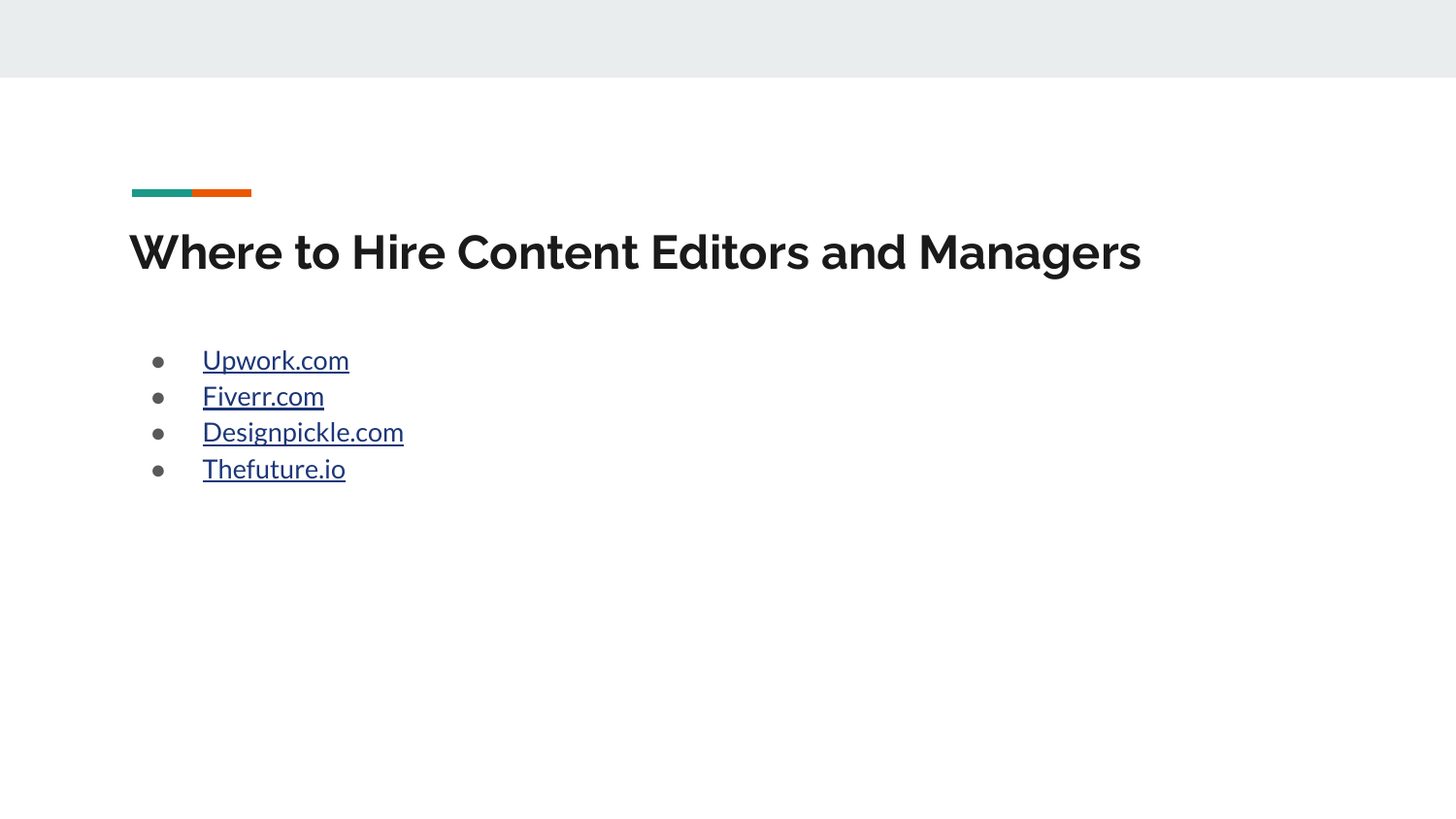#### **Where to Hire Content Editors and Managers**

- [Upwork.com](https://www.upwork.com/)
- [Fiverr.com](https://www.fiverr.com/)
- [Designpickle.com](https://designpickle.com/)
- [Thefuture.io](https://thefutures.io/)